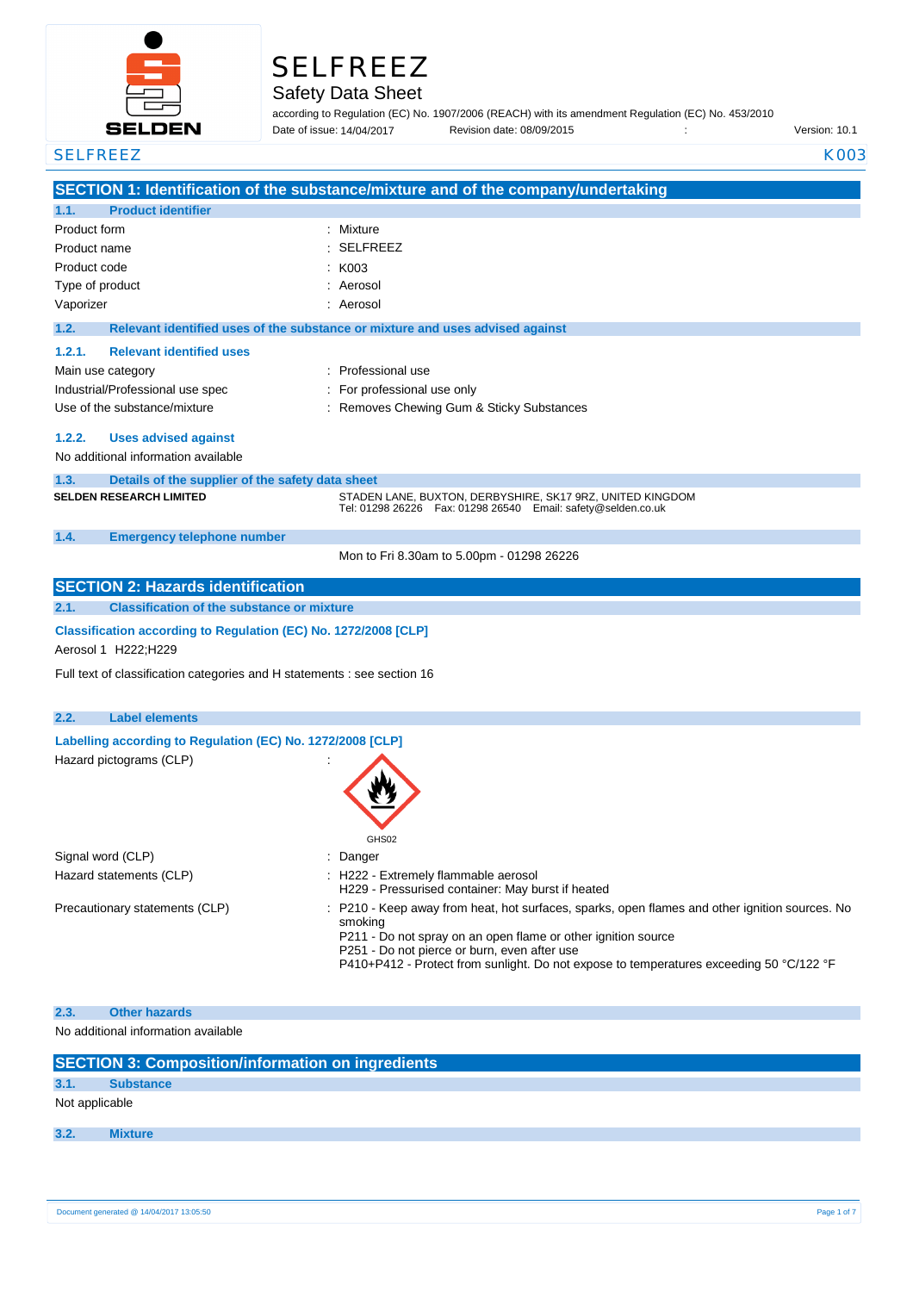

# SELFREEZ

# Safety Data Sheet

according to Regulation (EC) No. 1907/2006 (REACH) with its amendment Regulation (EC) No. 453/2010 Date of issue: Revision date: 08/09/2015 : Version: 10.1

Date of issue: 14/04/2017

| <b>SELFREEZ</b>                                                                            | <b>K003</b>                                                                                                                             |
|--------------------------------------------------------------------------------------------|-----------------------------------------------------------------------------------------------------------------------------------------|
|                                                                                            | SECTION 1: Identification of the substance/mixture and of the company/undertaking                                                       |
| <b>Product identifier</b><br>1.1.                                                          |                                                                                                                                         |
| Product form                                                                               | : Mixture                                                                                                                               |
| Product name                                                                               | <b>SELFREEZ</b>                                                                                                                         |
| Product code                                                                               | K003                                                                                                                                    |
| Type of product                                                                            | Aerosol                                                                                                                                 |
| Vaporizer                                                                                  | Aerosol                                                                                                                                 |
|                                                                                            |                                                                                                                                         |
| 1.2.                                                                                       | Relevant identified uses of the substance or mixture and uses advised against                                                           |
| <b>Relevant identified uses</b><br>1.2.1.                                                  |                                                                                                                                         |
| Main use category                                                                          | : Professional use                                                                                                                      |
| Industrial/Professional use spec                                                           | : For professional use only                                                                                                             |
| Use of the substance/mixture                                                               | : Removes Chewing Gum & Sticky Substances                                                                                               |
| 1.2.2.<br><b>Uses advised against</b>                                                      |                                                                                                                                         |
| No additional information available                                                        |                                                                                                                                         |
|                                                                                            |                                                                                                                                         |
| 1.3.<br>Details of the supplier of the safety data sheet<br><b>SELDEN RESEARCH LIMITED</b> | STADEN LANE, BUXTON, DERBYSHIRE, SK17 9RZ, UNITED KINGDOM                                                                               |
|                                                                                            | Tel: 01298 26226    Fax: 01298 26540    Email: safety@selden.co.uk                                                                      |
| 1.4.<br><b>Emergency telephone number</b>                                                  |                                                                                                                                         |
|                                                                                            | Mon to Fri 8.30am to 5.00pm - 01298 26226                                                                                               |
|                                                                                            |                                                                                                                                         |
| <b>SECTION 2: Hazards identification</b>                                                   |                                                                                                                                         |
| 2.1.<br><b>Classification of the substance or mixture</b>                                  |                                                                                                                                         |
| Classification according to Regulation (EC) No. 1272/2008 [CLP]                            |                                                                                                                                         |
| Aerosol 1 H222; H229                                                                       |                                                                                                                                         |
|                                                                                            |                                                                                                                                         |
| Full text of classification categories and H statements : see section 16                   |                                                                                                                                         |
|                                                                                            |                                                                                                                                         |
| 2.2.<br><b>Label elements</b>                                                              |                                                                                                                                         |
| Labelling according to Regulation (EC) No. 1272/2008 [CLP]                                 |                                                                                                                                         |
| Hazard pictograms (CLP)                                                                    |                                                                                                                                         |
|                                                                                            |                                                                                                                                         |
|                                                                                            |                                                                                                                                         |
|                                                                                            |                                                                                                                                         |
|                                                                                            | GHS02                                                                                                                                   |
| Signal word (CLP)                                                                          | Danger                                                                                                                                  |
| Hazard statements (CLP)                                                                    | H222 - Extremely flammable aerosol                                                                                                      |
|                                                                                            | H229 - Pressurised container: May burst if heated                                                                                       |
| Precautionary statements (CLP)                                                             | P210 - Keep away from heat, hot surfaces, sparks, open flames and other ignition sources. No                                            |
|                                                                                            | smoking                                                                                                                                 |
|                                                                                            | P211 - Do not spray on an open flame or other ignition source                                                                           |
|                                                                                            | P251 - Do not pierce or burn, even after use<br>P410+P412 - Protect from sunlight. Do not expose to temperatures exceeding 50 °C/122 °F |
|                                                                                            |                                                                                                                                         |
|                                                                                            |                                                                                                                                         |
| 2.3.<br><b>Other hazards</b>                                                               |                                                                                                                                         |
| No additional information available                                                        |                                                                                                                                         |
|                                                                                            |                                                                                                                                         |
| <b>SECTION 3: Composition/information on ingredients</b>                                   |                                                                                                                                         |
| 3.1.<br><b>Substance</b>                                                                   |                                                                                                                                         |
| Not applicable                                                                             |                                                                                                                                         |
| 3.2.<br><b>Mixture</b>                                                                     |                                                                                                                                         |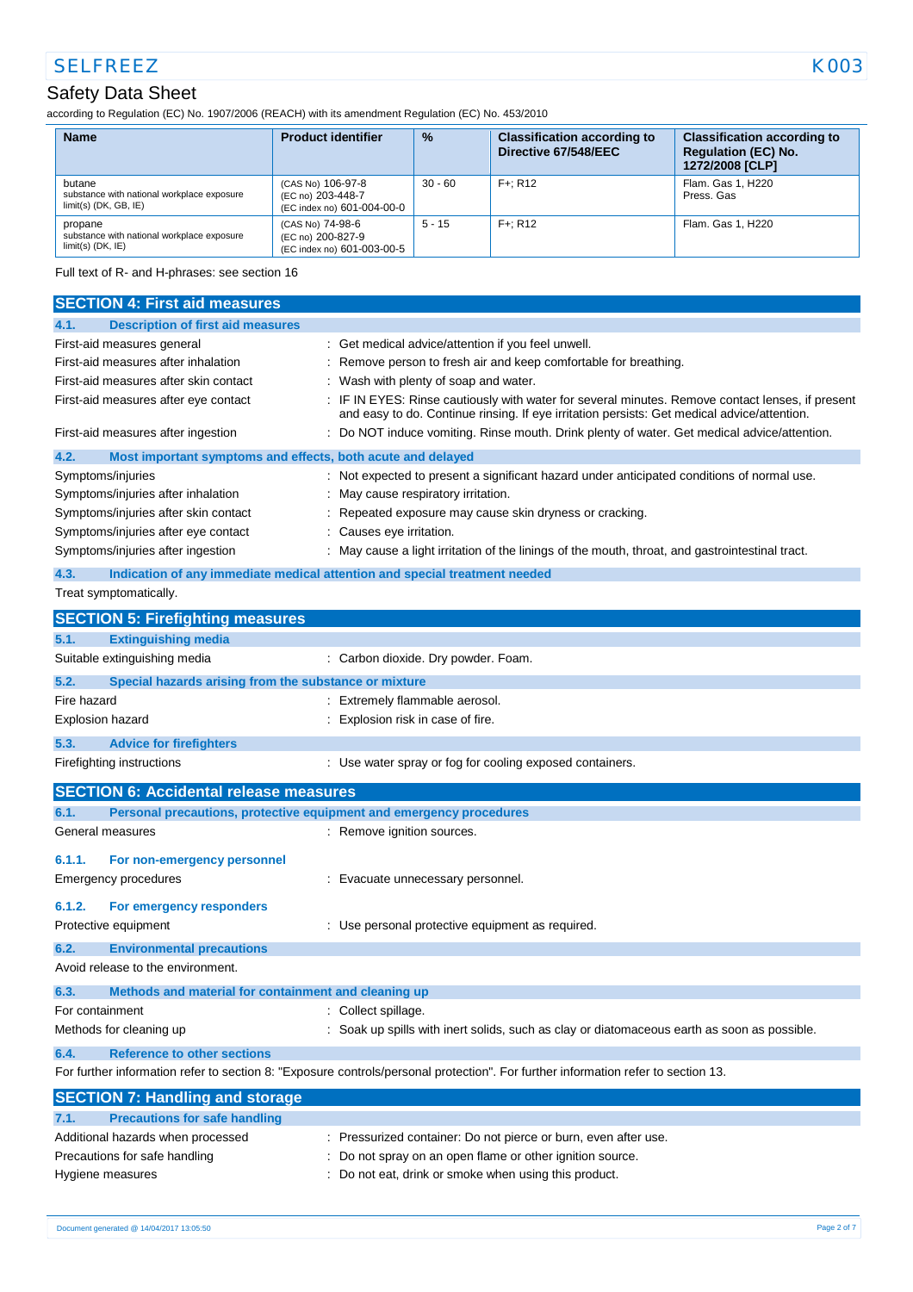# Safety Data Sheet

according to Regulation (EC) No. 1907/2006 (REACH) with its amendment Regulation (EC) No. 453/2010

| <b>Name</b>                                                                     | <b>Product identifier</b>                                            | $\frac{9}{6}$ | <b>Classification according to</b><br>Directive 67/548/EEC | <b>Classification according to</b><br><b>Regulation (EC) No.</b><br>1272/2008 [CLP] |
|---------------------------------------------------------------------------------|----------------------------------------------------------------------|---------------|------------------------------------------------------------|-------------------------------------------------------------------------------------|
| butane<br>substance with national workplace exposure<br>$limit(s)$ (DK, GB, IE) | (CAS No) 106-97-8<br>(EC no) 203-448-7<br>(EC index no) 601-004-00-0 | 30 - 60       | $F +: R12$                                                 | Flam, Gas 1, H220<br>Press, Gas                                                     |
| propane<br>substance with national workplace exposure<br>$limit(s)$ (DK, $IE$ ) | (CAS No) 74-98-6<br>(EC no) 200-827-9<br>(EC index no) 601-003-00-5  | $5 - 15$      | $F +: R12$                                                 | Flam, Gas 1, H220                                                                   |

Full text of R- and H-phrases: see section 16

| <b>SECTION 4: First aid measures</b>                                                                                              |                                                                                                                                                                                               |  |  |
|-----------------------------------------------------------------------------------------------------------------------------------|-----------------------------------------------------------------------------------------------------------------------------------------------------------------------------------------------|--|--|
| <b>Description of first aid measures</b><br>4.1.                                                                                  |                                                                                                                                                                                               |  |  |
| First-aid measures general                                                                                                        | : Get medical advice/attention if you feel unwell.                                                                                                                                            |  |  |
| First-aid measures after inhalation                                                                                               | Remove person to fresh air and keep comfortable for breathing.                                                                                                                                |  |  |
| First-aid measures after skin contact                                                                                             | Wash with plenty of soap and water.                                                                                                                                                           |  |  |
| First-aid measures after eye contact                                                                                              | IF IN EYES: Rinse cautiously with water for several minutes. Remove contact lenses, if present<br>and easy to do. Continue rinsing. If eye irritation persists: Get medical advice/attention. |  |  |
| First-aid measures after ingestion                                                                                                | Do NOT induce vomiting. Rinse mouth. Drink plenty of water. Get medical advice/attention.                                                                                                     |  |  |
| 4.2.<br>Most important symptoms and effects, both acute and delayed                                                               |                                                                                                                                                                                               |  |  |
| Symptoms/injuries                                                                                                                 | Not expected to present a significant hazard under anticipated conditions of normal use.                                                                                                      |  |  |
| Symptoms/injuries after inhalation                                                                                                | May cause respiratory irritation.                                                                                                                                                             |  |  |
| Symptoms/injuries after skin contact                                                                                              | Repeated exposure may cause skin dryness or cracking.                                                                                                                                         |  |  |
| Symptoms/injuries after eye contact                                                                                               | Causes eye irritation.                                                                                                                                                                        |  |  |
| Symptoms/injuries after ingestion                                                                                                 | May cause a light irritation of the linings of the mouth, throat, and gastrointestinal tract.                                                                                                 |  |  |
| 4.3.<br>Indication of any immediate medical attention and special treatment needed                                                |                                                                                                                                                                                               |  |  |
| Treat symptomatically.                                                                                                            |                                                                                                                                                                                               |  |  |
| <b>SECTION 5: Firefighting measures</b>                                                                                           |                                                                                                                                                                                               |  |  |
| 5.1.<br><b>Extinguishing media</b>                                                                                                |                                                                                                                                                                                               |  |  |
| Suitable extinguishing media                                                                                                      | Carbon dioxide. Dry powder. Foam.                                                                                                                                                             |  |  |
| 5.2.<br>Special hazards arising from the substance or mixture                                                                     |                                                                                                                                                                                               |  |  |
| Fire hazard                                                                                                                       | Extremely flammable aerosol.                                                                                                                                                                  |  |  |
| Explosion hazard                                                                                                                  | Explosion risk in case of fire.                                                                                                                                                               |  |  |
| 5.3.<br><b>Advice for firefighters</b>                                                                                            |                                                                                                                                                                                               |  |  |
| Firefighting instructions                                                                                                         | : Use water spray or fog for cooling exposed containers.                                                                                                                                      |  |  |
| <b>SECTION 6: Accidental release measures</b>                                                                                     |                                                                                                                                                                                               |  |  |
| Personal precautions, protective equipment and emergency procedures<br>6.1.                                                       |                                                                                                                                                                                               |  |  |
| General measures                                                                                                                  | : Remove ignition sources.                                                                                                                                                                    |  |  |
| 6.1.1.<br>For non-emergency personnel                                                                                             |                                                                                                                                                                                               |  |  |
| Emergency procedures                                                                                                              | Evacuate unnecessary personnel.                                                                                                                                                               |  |  |
| 6.1.2.<br>For emergency responders                                                                                                |                                                                                                                                                                                               |  |  |
| Protective equipment                                                                                                              | Use personal protective equipment as required.                                                                                                                                                |  |  |
| 6.2.<br><b>Environmental precautions</b>                                                                                          |                                                                                                                                                                                               |  |  |
| Avoid release to the environment.                                                                                                 |                                                                                                                                                                                               |  |  |
| 6.3.<br>Methods and material for containment and cleaning up                                                                      |                                                                                                                                                                                               |  |  |
| For containment                                                                                                                   | Collect spillage.                                                                                                                                                                             |  |  |
| Methods for cleaning up                                                                                                           | Soak up spills with inert solids, such as clay or diatomaceous earth as soon as possible.                                                                                                     |  |  |
| <b>Reference to other sections</b><br>6.4.                                                                                        |                                                                                                                                                                                               |  |  |
| For further information refer to section 8: "Exposure controls/personal protection". For further information refer to section 13. |                                                                                                                                                                                               |  |  |
| <b>SECTION 7: Handling and storage</b>                                                                                            |                                                                                                                                                                                               |  |  |
| <b>Precautions for safe handling</b><br>7.1.                                                                                      |                                                                                                                                                                                               |  |  |
| Additional hazards when processed                                                                                                 | Pressurized container: Do not pierce or burn, even after use.                                                                                                                                 |  |  |
| Precautions for safe handling                                                                                                     | Do not spray on an open flame or other ignition source.                                                                                                                                       |  |  |
| Hygiene measures                                                                                                                  | Do not eat, drink or smoke when using this product.                                                                                                                                           |  |  |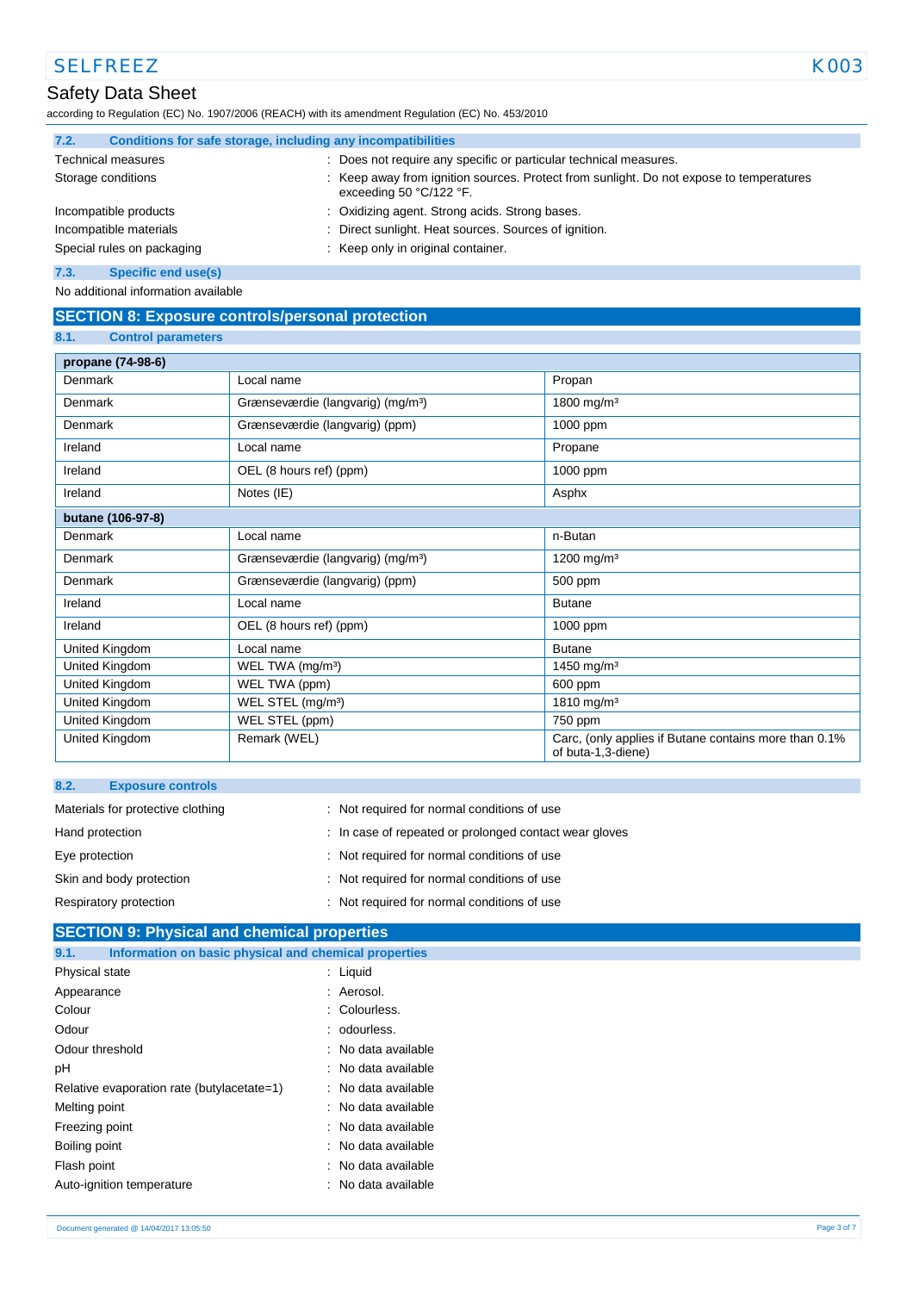## Safety Data Sheet

according to Regulation (EC) No. 1907/2006 (REACH) with its amendment Regulation (EC) No. 453/2010

| 7.2.                   | Conditions for safe storage, including any incompatibilities |                                                                                                                    |
|------------------------|--------------------------------------------------------------|--------------------------------------------------------------------------------------------------------------------|
|                        | <b>Technical measures</b>                                    | Does not require any specific or particular technical measures.                                                    |
|                        | Storage conditions                                           | Keep away from ignition sources. Protect from sunlight. Do not expose to temperatures<br>exceeding 50 $°C/122$ °F. |
|                        | Incompatible products                                        | : Oxidizing agent. Strong acids. Strong bases.                                                                     |
| Incompatible materials |                                                              | Direct sunlight. Heat sources. Sources of ignition.                                                                |
|                        | Special rules on packaging                                   | : Keep only in original container.                                                                                 |
| 7.3.                   | <b>Specific end use(s)</b>                                   |                                                                                                                    |

No additional information available

## **SECTION 8: Exposure controls/personal protection**

### **8.1. Control parameters**

| propane (74-98-6) |                                               |                                                                             |
|-------------------|-----------------------------------------------|-----------------------------------------------------------------------------|
| <b>Denmark</b>    | Local name                                    | Propan                                                                      |
| <b>Denmark</b>    | Grænseværdie (langvarig) (mg/m <sup>3</sup> ) | 1800 mg/m <sup>3</sup>                                                      |
| Denmark           | Grænseværdie (langvarig) (ppm)                | 1000 ppm                                                                    |
| Ireland           | Local name                                    | Propane                                                                     |
| Ireland           | OEL (8 hours ref) (ppm)                       | 1000 ppm                                                                    |
| Ireland           | Notes (IE)                                    | Asphx                                                                       |
| butane (106-97-8) |                                               |                                                                             |
| Denmark           | Local name                                    | n-Butan                                                                     |
| <b>Denmark</b>    | Grænseværdie (langvarig) (mg/m <sup>3</sup> ) | 1200 mg/m <sup>3</sup>                                                      |
| Denmark           | Grænseværdie (langvarig) (ppm)                | 500 ppm                                                                     |
| Ireland           | Local name                                    | <b>Butane</b>                                                               |
| Ireland           | OEL (8 hours ref) (ppm)                       | 1000 ppm                                                                    |
| United Kingdom    | Local name                                    | <b>Butane</b>                                                               |
| United Kingdom    | WEL TWA (mg/m <sup>3</sup> )                  | 1450 mg/m <sup>3</sup>                                                      |
| United Kingdom    | WEL TWA (ppm)                                 | 600 ppm                                                                     |
| United Kingdom    | WEL STEL (mg/m <sup>3</sup> )                 | 1810 mg/m <sup>3</sup>                                                      |
| United Kingdom    | WEL STEL (ppm)                                | 750 ppm                                                                     |
| United Kingdom    | Remark (WEL)                                  | Carc, (only applies if Butane contains more than 0.1%<br>of buta-1,3-diene) |

| 8.2.<br><b>Exposure controls</b>  |                                                        |
|-----------------------------------|--------------------------------------------------------|
| Materials for protective clothing | : Not required for normal conditions of use            |
| Hand protection                   | : In case of repeated or prolonged contact wear gloves |
| Eye protection                    | : Not required for normal conditions of use            |
| Skin and body protection          | : Not required for normal conditions of use            |
| Respiratory protection            | : Not required for normal conditions of use            |

# **SECTION 9: Physical and chemical properties 9.1. Information on basic physical and chemical properties** Physical state : Liquid Appearance in the set of the set of the set of the Aerosol. Colour : Colourless. Odour : odourless. Odour threshold **in the contract of the Contract Contract Contract Contract Contract Contract Contract Contract Contract Contract Contract Contract Contract Contract Contract Contract Contract Contract Contract Contract Co** pH : No data available Relative evaporation rate (butylacetate=1) : No data available Melting point **in the case of the case of the case of the case of the case of the case of the case of the case of the case of the case of the case of the case of the case of the case of the case of the case of the case of** Freezing point **in the case of the case of the case of the case of the case of the case of the case of the case of the case of the case of the case of the case of the case of the case of the case of the case of the case of** Boiling point **in the case of the case of the case of the case of the case of the case of the case of the case of the case of the case of the case of the case of the case of the case of the case of the case of the case of** Flash point **in the case of the case of the case of the case of the case of the case of the case of the case of the case of the case of the case of the case of the case of the case of the case of the case of the case of th** Auto-ignition temperature **interest and the Contract Auto-ignition** temperature intervals and the Nutsuland Contra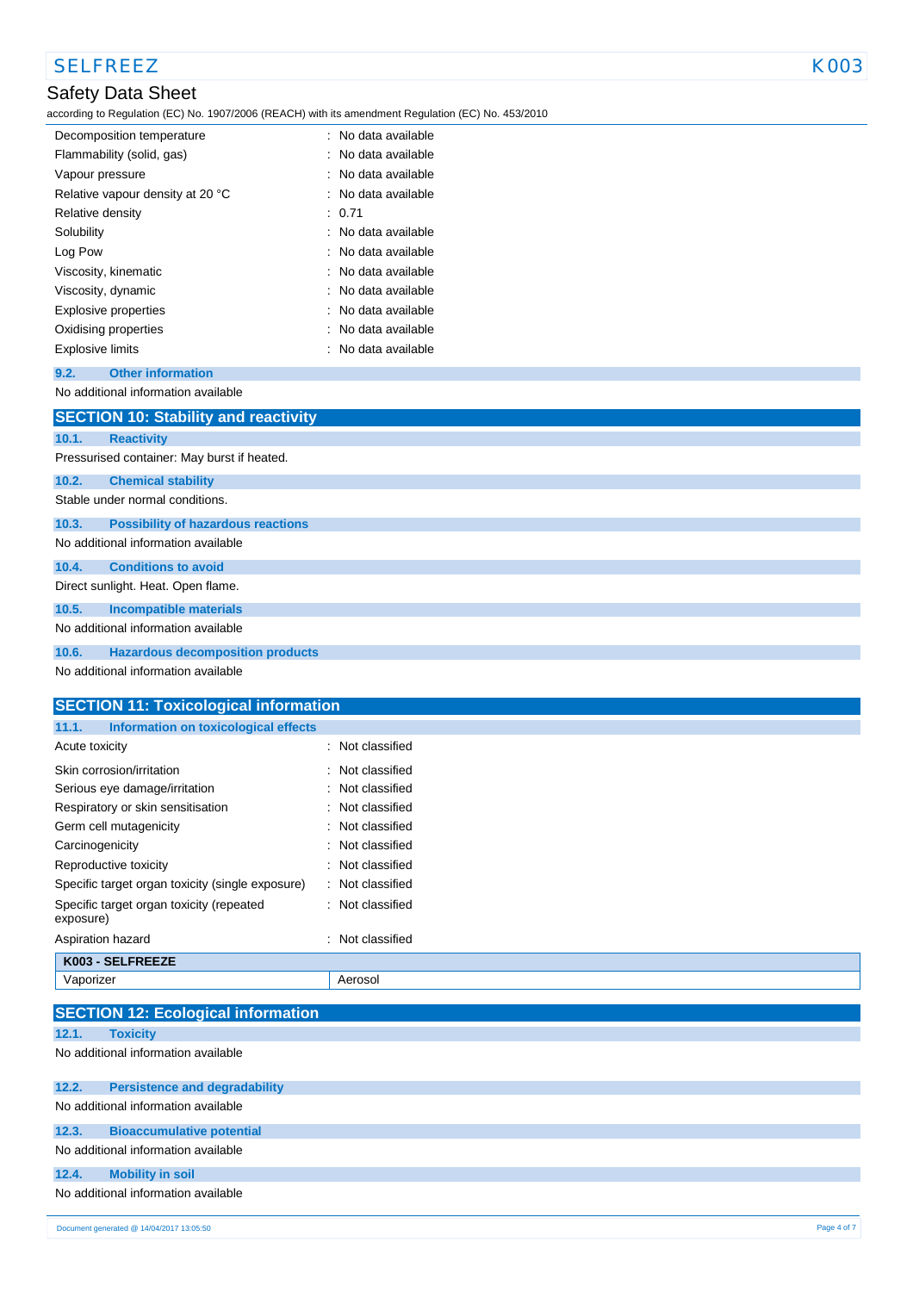according to Regulation (EC) No. 1907/2006 (REACH) with its amendment Regulation (EC) No. 453/2010

| Decomposition temperature        | No data available              |
|----------------------------------|--------------------------------|
| Flammability (solid, gas)        | No data available              |
| Vapour pressure                  | : No data available            |
| Relative vapour density at 20 °C | : No data available            |
| Relative density                 | : 0.71                         |
| Solubility                       | : No data available            |
| Log Pow                          | $\therefore$ No data available |
| Viscosity, kinematic             | : No data available            |
| Viscosity, dynamic               | : No data available            |
| Explosive properties             | No data available              |
| Oxidising properties             | No data available              |
| <b>Explosive limits</b>          | No data available              |

## **9.2. Other information**

No additional information available

|       | <b>SECTION 10: Stability and reactivity</b> |
|-------|---------------------------------------------|
| 10.1. | <b>Reactivity</b>                           |
|       | Pressurised container: May burst if heated. |
| 10.2. | <b>Chemical stability</b>                   |
|       | Stable under normal conditions.             |
| 10.3. | <b>Possibility of hazardous reactions</b>   |
|       | No additional information available         |
| 10.4. | <b>Conditions to avoid</b>                  |
|       | Direct sunlight. Heat. Open flame.          |
| 10.5. | <b>Incompatible materials</b>               |
|       | No additional information available         |
| 10.6. | <b>Hazardous decomposition products</b>     |
|       | No additional information available         |

| <b>SECTION 11: Toxicological information</b>          |                     |
|-------------------------------------------------------|---------------------|
| Information on toxicological effects<br>11.1.         |                     |
| Acute toxicity                                        | : Not classified    |
| Skin corrosion/irritation                             | : Not classified    |
| Serious eye damage/irritation                         | : Not classified    |
| Respiratory or skin sensitisation                     | : Not classified    |
| Germ cell mutagenicity                                | Not classified      |
| Carcinogenicity                                       | Not classified<br>÷ |
| Reproductive toxicity                                 | : Not classified    |
| Specific target organ toxicity (single exposure)      | : Not classified    |
| Specific target organ toxicity (repeated<br>exposure) | : Not classified    |
| Aspiration hazard                                     | Not classified<br>÷ |
| K003 - SELFREEZE                                      |                     |
| Vaporizer                                             | Aerosol             |
|                                                       |                     |
| <b>SECTION 12: Ecological information</b>             |                     |
| 12.1.<br><b>Toxicity</b>                              |                     |

No additional information available

| 12.2. | <b>Persistence and degradability</b> |
|-------|--------------------------------------|
|       | No additional information available  |
| 12.3. | <b>Bioaccumulative potential</b>     |
|       | No additional information available  |
| 12.4. | <b>Mobility in soil</b>              |
|       | No additional information available  |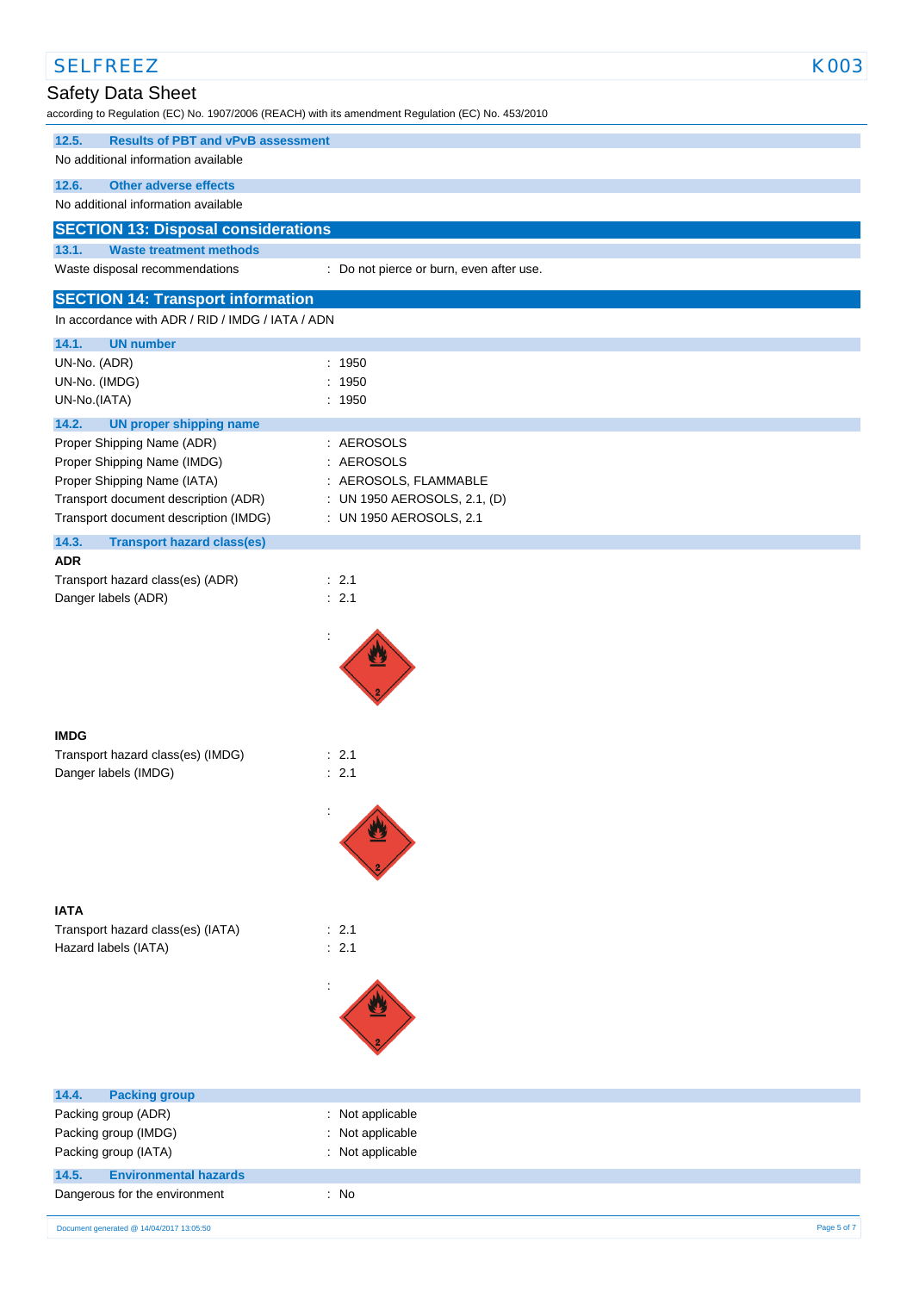| <b>SELFREEZ</b>                                                                              |                                                                                                    | <b>K003</b> |
|----------------------------------------------------------------------------------------------|----------------------------------------------------------------------------------------------------|-------------|
| Safety Data Sheet                                                                            |                                                                                                    |             |
|                                                                                              | according to Regulation (EC) No. 1907/2006 (REACH) with its amendment Regulation (EC) No. 453/2010 |             |
| 12.5.<br><b>Results of PBT and vPvB assessment</b><br>No additional information available    |                                                                                                    |             |
| <b>Other adverse effects</b><br>12.6.                                                        |                                                                                                    |             |
| No additional information available                                                          |                                                                                                    |             |
| <b>SECTION 13: Disposal considerations</b>                                                   |                                                                                                    |             |
| 13.1.<br><b>Waste treatment methods</b><br>Waste disposal recommendations                    | : Do not pierce or burn, even after use.                                                           |             |
|                                                                                              |                                                                                                    |             |
| <b>SECTION 14: Transport information</b><br>In accordance with ADR / RID / IMDG / IATA / ADN |                                                                                                    |             |
| 14.1.<br><b>UN number</b>                                                                    |                                                                                                    |             |
| UN-No. (ADR)                                                                                 | : 1950                                                                                             |             |
| UN-No. (IMDG)                                                                                | : 1950                                                                                             |             |
| UN-No.(IATA)                                                                                 | : 1950                                                                                             |             |
| 14.2.<br><b>UN proper shipping name</b><br>Proper Shipping Name (ADR)                        | : AEROSOLS                                                                                         |             |
| Proper Shipping Name (IMDG)                                                                  | : AEROSOLS                                                                                         |             |
| Proper Shipping Name (IATA)                                                                  | : AEROSOLS, FLAMMABLE                                                                              |             |
| Transport document description (ADR)                                                         | : UN 1950 AEROSOLS, 2.1, (D)                                                                       |             |
| Transport document description (IMDG)                                                        | : UN 1950 AEROSOLS, 2.1                                                                            |             |
| 14.3.<br><b>Transport hazard class(es)</b><br><b>ADR</b>                                     |                                                                                                    |             |
| Transport hazard class(es) (ADR)                                                             | $\therefore$ 2.1                                                                                   |             |
| Danger labels (ADR)                                                                          | : 2.1                                                                                              |             |
|                                                                                              |                                                                                                    |             |
|                                                                                              |                                                                                                    |             |
|                                                                                              |                                                                                                    |             |
|                                                                                              |                                                                                                    |             |
|                                                                                              |                                                                                                    |             |
| <b>IMDG</b>                                                                                  |                                                                                                    |             |
| Transport hazard class(es) (IMDG)<br>Danger labels (IMDG)                                    | : 2.1<br>: 2.1                                                                                     |             |
|                                                                                              |                                                                                                    |             |
|                                                                                              |                                                                                                    |             |
|                                                                                              |                                                                                                    |             |
|                                                                                              |                                                                                                    |             |
|                                                                                              |                                                                                                    |             |
| <b>IATA</b>                                                                                  |                                                                                                    |             |
| Transport hazard class(es) (IATA)                                                            | : 2.1                                                                                              |             |
| Hazard labels (IATA)                                                                         | : 2.1                                                                                              |             |
|                                                                                              |                                                                                                    |             |
|                                                                                              |                                                                                                    |             |
|                                                                                              |                                                                                                    |             |
|                                                                                              |                                                                                                    |             |
|                                                                                              |                                                                                                    |             |
| 14.4.<br><b>Packing group</b>                                                                |                                                                                                    |             |
| Packing group (ADR)                                                                          | : Not applicable                                                                                   |             |
| Packing group (IMDG)                                                                         | Not applicable<br>÷.                                                                               |             |
| Packing group (IATA)                                                                         | : Not applicable                                                                                   |             |
| 14.5.<br><b>Environmental hazards</b><br>Dangerous for the environment                       | : No                                                                                               |             |
|                                                                                              |                                                                                                    |             |
| Document generated @ 14/04/2017 13:05:50                                                     |                                                                                                    | Page 5 of 7 |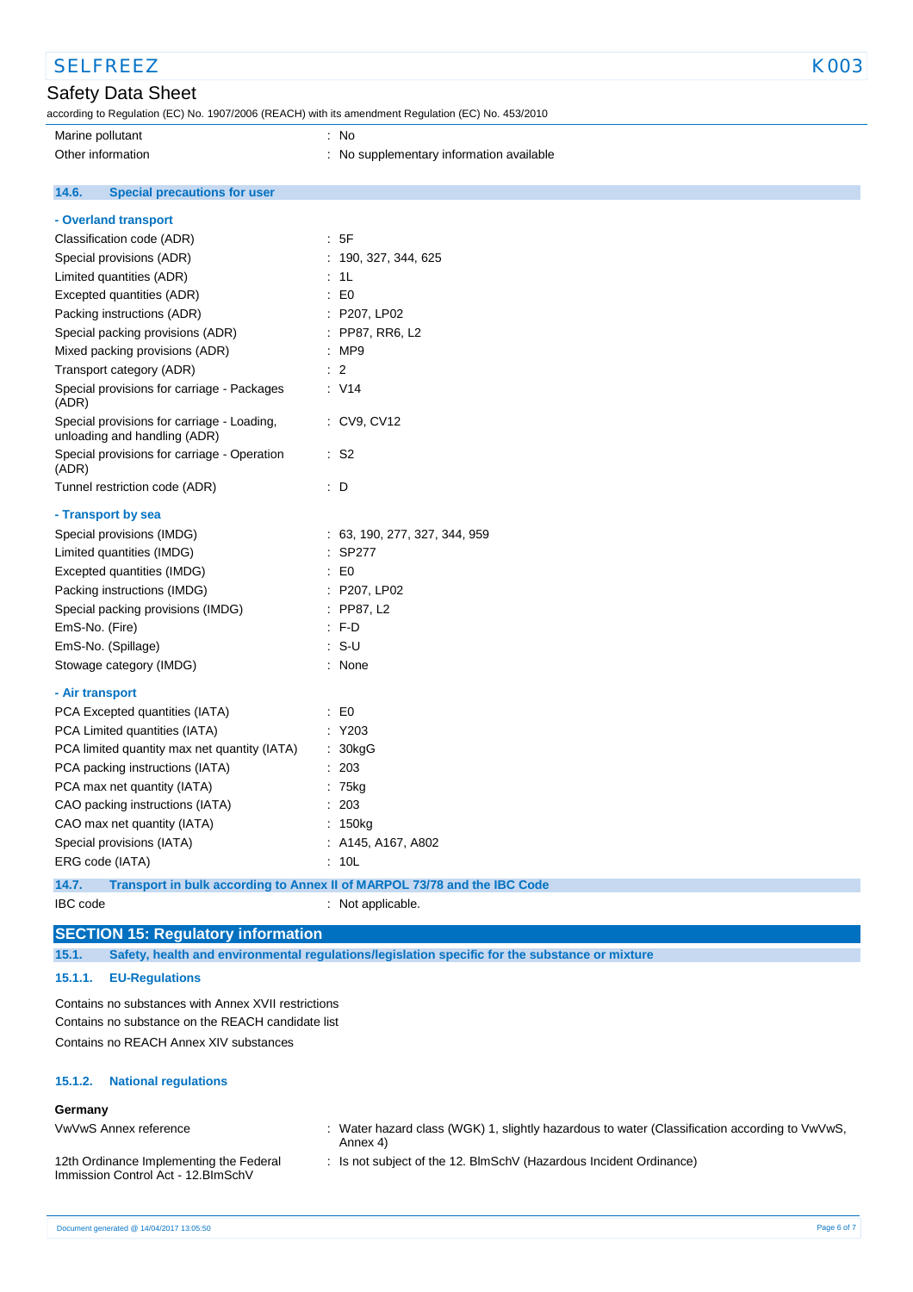| <b>SELFREEZ</b>                                                                                    |                                                                          | K003 |
|----------------------------------------------------------------------------------------------------|--------------------------------------------------------------------------|------|
| <b>Safety Data Sheet</b>                                                                           |                                                                          |      |
| according to Regulation (EC) No. 1907/2006 (REACH) with its amendment Regulation (EC) No. 453/2010 |                                                                          |      |
| Marine pollutant                                                                                   | : No                                                                     |      |
| Other information                                                                                  | : No supplementary information available                                 |      |
|                                                                                                    |                                                                          |      |
| 14.6.<br><b>Special precautions for user</b>                                                       |                                                                          |      |
| - Overland transport                                                                               |                                                                          |      |
| Classification code (ADR)                                                                          | : 5F                                                                     |      |
| Special provisions (ADR)                                                                           | : 190, 327, 344, 625                                                     |      |
| Limited quantities (ADR)                                                                           | : 1L                                                                     |      |
| Excepted quantities (ADR)                                                                          | $\mathbf{E}$ = $\mathbf{E}$                                              |      |
| Packing instructions (ADR)                                                                         | : P207, LP02                                                             |      |
| Special packing provisions (ADR)                                                                   | : PP87, RR6, L2                                                          |      |
| Mixed packing provisions (ADR)                                                                     | : MP9                                                                    |      |
| Transport category (ADR)                                                                           | $\therefore$ 2                                                           |      |
| Special provisions for carriage - Packages<br>(ADR)                                                | : V14                                                                    |      |
| Special provisions for carriage - Loading,<br>unloading and handling (ADR)                         | : CV9, CV12                                                              |      |
| Special provisions for carriage - Operation<br>(ADR)                                               | $\cdot$ S2                                                               |      |
| Tunnel restriction code (ADR)                                                                      | $\therefore$ D                                                           |      |
| - Transport by sea                                                                                 |                                                                          |      |
| Special provisions (IMDG)                                                                          | : 63, 190, 277, 327, 344, 959                                            |      |
| Limited quantities (IMDG)                                                                          | : SP277                                                                  |      |
| Excepted quantities (IMDG)                                                                         | $\mathbf{E}$ = $\mathbf{E}$                                              |      |
| Packing instructions (IMDG)                                                                        | : P207, LP02                                                             |      |
| Special packing provisions (IMDG)                                                                  | $:$ PP87, L2                                                             |      |
| EmS-No. (Fire)                                                                                     | $\cdot$ F-D                                                              |      |
| EmS-No. (Spillage)                                                                                 | $: S-U$                                                                  |      |
| Stowage category (IMDG)                                                                            | : None                                                                   |      |
| - Air transport                                                                                    |                                                                          |      |
| PCA Excepted quantities (IATA)                                                                     | $\mathsf{E} \mathsf{D}$                                                  |      |
| PCA Limited quantities (IATA)                                                                      | : Y203                                                                   |      |
| PCA limited quantity max net quantity (IATA)                                                       | : 30kgG                                                                  |      |
| PCA packing instructions (IATA)                                                                    | : 203                                                                    |      |
| PCA max net quantity (IATA)                                                                        | : 75kg                                                                   |      |
| CAO packing instructions (IATA)                                                                    | : 203                                                                    |      |
| CAO max net quantity (IATA)                                                                        | : 150kg                                                                  |      |
| Special provisions (IATA)                                                                          | : A145, A167, A802                                                       |      |
| ERG code (IATA)                                                                                    | : 10L                                                                    |      |
|                                                                                                    |                                                                          |      |
| 14.7.                                                                                              | Transport in bulk according to Annex II of MARPOL 73/78 and the IBC Code |      |
| IBC code                                                                                           | : Not applicable.                                                        |      |

# **SECTION 15: Regulatory information**

**15.1. Safety, health and environmental regulations/legislation specific for the substance or mixture**

#### **15.1.1. EU-Regulations**

Contains no substances with Annex XVII restrictions Contains no substance on the REACH candidate list Contains no REACH Annex XIV substances

#### **15.1.2. National regulations**

## **Germany**

VwVwS Annex reference : Water hazard class (WGK) 1, slightly hazardous to water (Classification according to VwVwS, Annex 4)

12th Ordinance Implementing the Federal Immission Control Act - 12.BImSchV

: Is not subject of the 12. BlmSchV (Hazardous Incident Ordinance)